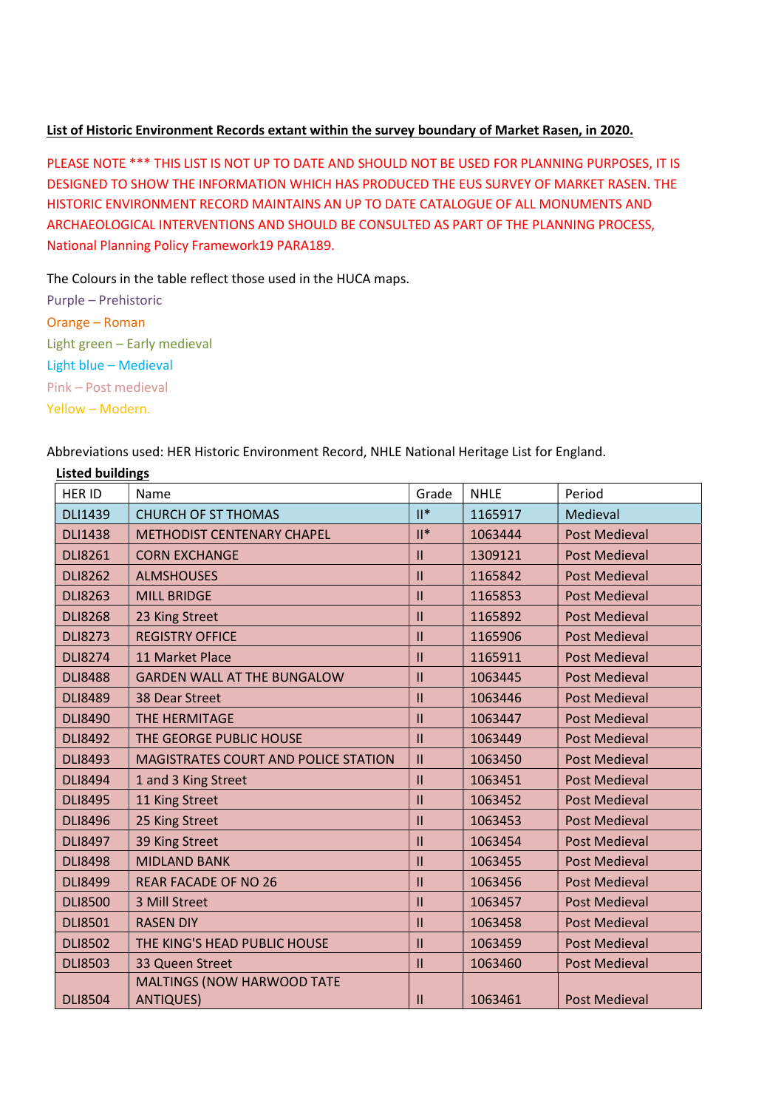## List of Historic Environment Records extant within the survey boundary of Market Rasen, in 2020.

PLEASE NOTE \*\*\* THIS LIST IS NOT UP TO DATE AND SHOULD NOT BE USED FOR PLANNING PURPOSES, IT IS DESIGNED TO SHOW THE INFORMATION WHICH HAS PRODUCED THE EUS SURVEY OF MARKET RASEN. THE HISTORIC ENVIRONMENT RECORD MAINTAINS AN UP TO DATE CATALOGUE OF ALL MONUMENTS AND ARCHAEOLOGICAL INTERVENTIONS AND SHOULD BE CONSULTED AS PART OF THE PLANNING PROCESS, National Planning Policy Framework19 PARA189.

The Colours in the table reflect those used in the HUCA maps.

Purple – Prehistoric Orange – Roman Light green – Early medieval Light blue – Medieval Pink – Post medieval Yellow – Modern.

Abbreviations used: HER Historic Environment Record, NHLE National Heritage List for England.

| <b>Listed buildings</b> |                                      |               |             |                      |
|-------------------------|--------------------------------------|---------------|-------------|----------------------|
| <b>HER ID</b>           | Name                                 | Grade         | <b>NHLE</b> | Period               |
| <b>DLI1439</b>          | <b>CHURCH OF ST THOMAS</b>           | $  $ *        | 1165917     | Medieval             |
| <b>DLI1438</b>          | <b>METHODIST CENTENARY CHAPEL</b>    | $II^*$        | 1063444     | <b>Post Medieval</b> |
| <b>DLI8261</b>          | <b>CORN EXCHANGE</b>                 | $\mathbf{II}$ | 1309121     | <b>Post Medieval</b> |
| <b>DLI8262</b>          | <b>ALMSHOUSES</b>                    | $\mathbf{II}$ | 1165842     | <b>Post Medieval</b> |
| <b>DLI8263</b>          | <b>MILL BRIDGE</b>                   | $\mathbf{II}$ | 1165853     | <b>Post Medieval</b> |
| <b>DLI8268</b>          | 23 King Street                       | $\mathbf{II}$ | 1165892     | <b>Post Medieval</b> |
| <b>DLI8273</b>          | <b>REGISTRY OFFICE</b>               | $\mathbf{II}$ | 1165906     | <b>Post Medieval</b> |
| <b>DLI8274</b>          | 11 Market Place                      | $\mathbf{II}$ | 1165911     | <b>Post Medieval</b> |
| <b>DLI8488</b>          | <b>GARDEN WALL AT THE BUNGALOW</b>   | $\mathbf{II}$ | 1063445     | <b>Post Medieval</b> |
| <b>DLI8489</b>          | 38 Dear Street                       | $\mathbf{II}$ | 1063446     | <b>Post Medieval</b> |
| <b>DLI8490</b>          | <b>THE HERMITAGE</b>                 | $\mathbf{II}$ | 1063447     | <b>Post Medieval</b> |
| <b>DLI8492</b>          | THE GEORGE PUBLIC HOUSE              | $\mathbf{II}$ | 1063449     | <b>Post Medieval</b> |
| <b>DLI8493</b>          | MAGISTRATES COURT AND POLICE STATION | $\mathbf{II}$ | 1063450     | <b>Post Medieval</b> |
| <b>DLI8494</b>          | 1 and 3 King Street                  | $\mathbf{II}$ | 1063451     | <b>Post Medieval</b> |
| <b>DLI8495</b>          | 11 King Street                       | $\mathbf{II}$ | 1063452     | <b>Post Medieval</b> |
| <b>DLI8496</b>          | 25 King Street                       | $\mathbf{II}$ | 1063453     | <b>Post Medieval</b> |
| <b>DLI8497</b>          | 39 King Street                       | $\mathbf{II}$ | 1063454     | <b>Post Medieval</b> |
| <b>DLI8498</b>          | <b>MIDLAND BANK</b>                  | $\mathbf{II}$ | 1063455     | <b>Post Medieval</b> |
| <b>DLI8499</b>          | <b>REAR FACADE OF NO 26</b>          | $\mathbf{II}$ | 1063456     | <b>Post Medieval</b> |
| <b>DLI8500</b>          | 3 Mill Street                        | $\mathbf{II}$ | 1063457     | <b>Post Medieval</b> |
| <b>DLI8501</b>          | <b>RASEN DIY</b>                     | $\mathbf{II}$ | 1063458     | <b>Post Medieval</b> |
| <b>DLI8502</b>          | THE KING'S HEAD PUBLIC HOUSE         | $\mathbf{II}$ | 1063459     | <b>Post Medieval</b> |
| <b>DLI8503</b>          | 33 Queen Street                      | $\mathbf{II}$ | 1063460     | <b>Post Medieval</b> |
|                         | MALTINGS (NOW HARWOOD TATE           |               |             |                      |
| <b>DLI8504</b>          | <b>ANTIQUES)</b>                     | $\mathbf{II}$ | 1063461     | <b>Post Medieval</b> |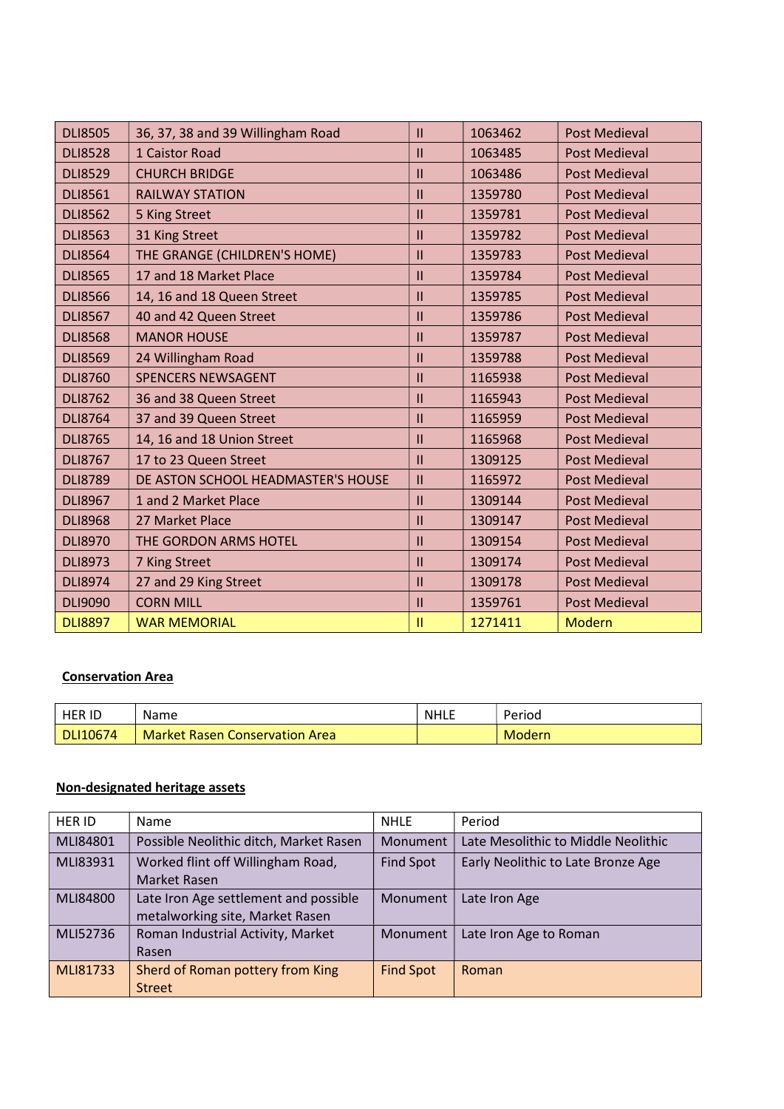| <b>DLI8505</b> | 36, 37, 38 and 39 Willingham Road  | $\mathbf{II}$ | 1063462 | <b>Post Medieval</b> |
|----------------|------------------------------------|---------------|---------|----------------------|
| <b>DLI8528</b> | 1 Caistor Road                     | Ш             | 1063485 | <b>Post Medieval</b> |
| <b>DLI8529</b> | <b>CHURCH BRIDGE</b>               | $\mathbf{II}$ | 1063486 | <b>Post Medieval</b> |
| <b>DLI8561</b> | <b>RAILWAY STATION</b>             | Ш             | 1359780 | <b>Post Medieval</b> |
| <b>DLI8562</b> | 5 King Street                      | $\mathbf{II}$ | 1359781 | <b>Post Medieval</b> |
| <b>DLI8563</b> | 31 King Street                     | Ш             | 1359782 | <b>Post Medieval</b> |
| <b>DLI8564</b> | THE GRANGE (CHILDREN'S HOME)       | $\mathbf{II}$ | 1359783 | <b>Post Medieval</b> |
| <b>DLI8565</b> | 17 and 18 Market Place             | Ш             | 1359784 | <b>Post Medieval</b> |
| <b>DLI8566</b> | 14, 16 and 18 Queen Street         | Ш             | 1359785 | <b>Post Medieval</b> |
| <b>DLI8567</b> | 40 and 42 Queen Street             | Ш             | 1359786 | <b>Post Medieval</b> |
| <b>DLI8568</b> | <b>MANOR HOUSE</b>                 | $\mathbf{II}$ | 1359787 | <b>Post Medieval</b> |
| <b>DLI8569</b> | 24 Willingham Road                 | Ш             | 1359788 | <b>Post Medieval</b> |
| <b>DLI8760</b> | <b>SPENCERS NEWSAGENT</b>          | Ш             | 1165938 | <b>Post Medieval</b> |
| <b>DLI8762</b> | 36 and 38 Queen Street             | $\mathbf{I}$  | 1165943 | <b>Post Medieval</b> |
| <b>DLI8764</b> | 37 and 39 Queen Street             | $\mathbf{II}$ | 1165959 | <b>Post Medieval</b> |
| <b>DLI8765</b> | 14, 16 and 18 Union Street         | $\mathbf{II}$ | 1165968 | <b>Post Medieval</b> |
| <b>DLI8767</b> | 17 to 23 Queen Street              | $\mathbf{II}$ | 1309125 | <b>Post Medieval</b> |
| <b>DLI8789</b> | DE ASTON SCHOOL HEADMASTER'S HOUSE | $\mathbf{II}$ | 1165972 | <b>Post Medieval</b> |
| <b>DLI8967</b> | 1 and 2 Market Place               | $\mathbf{II}$ | 1309144 | <b>Post Medieval</b> |
| <b>DLI8968</b> | 27 Market Place                    | $\mathbf{II}$ | 1309147 | <b>Post Medieval</b> |
| <b>DLI8970</b> | THE GORDON ARMS HOTEL              | $\mathbf{II}$ | 1309154 | <b>Post Medieval</b> |
| <b>DLI8973</b> | 7 King Street                      | $\mathbf{II}$ | 1309174 | <b>Post Medieval</b> |
| <b>DLI8974</b> | 27 and 29 King Street              | $\mathbf{II}$ | 1309178 | <b>Post Medieval</b> |
| <b>DLI9090</b> | <b>CORN MILL</b>                   | $\mathbf{II}$ | 1359761 | <b>Post Medieval</b> |
| <b>DLI8897</b> | <b>WAR MEMORIAL</b>                | $\mathbf{II}$ | 1271411 | <b>Modern</b>        |

## Conservation Area

| <b>HER ID</b> | Name                                  | <b>NHLE</b> | Period        |
|---------------|---------------------------------------|-------------|---------------|
| DLI10674      | <b>Market Rasen Conservation Area</b> |             | <b>Modern</b> |

## Non-designated heritage assets

| <b>HER ID</b> | Name                                                                     | <b>NHLE</b>      | Period                              |
|---------------|--------------------------------------------------------------------------|------------------|-------------------------------------|
| MLI84801      | Possible Neolithic ditch, Market Rasen                                   | Monument         | Late Mesolithic to Middle Neolithic |
| MLI83931      | Worked flint off Willingham Road,<br>Market Rasen                        | <b>Find Spot</b> | Early Neolithic to Late Bronze Age  |
| MLI84800      | Late Iron Age settlement and possible<br>metalworking site, Market Rasen | Monument         | Late Iron Age                       |
| MLI52736      | Roman Industrial Activity, Market<br>Rasen                               | Monument         | Late Iron Age to Roman              |
| MLI81733      | Sherd of Roman pottery from King<br><b>Street</b>                        | <b>Find Spot</b> | Roman                               |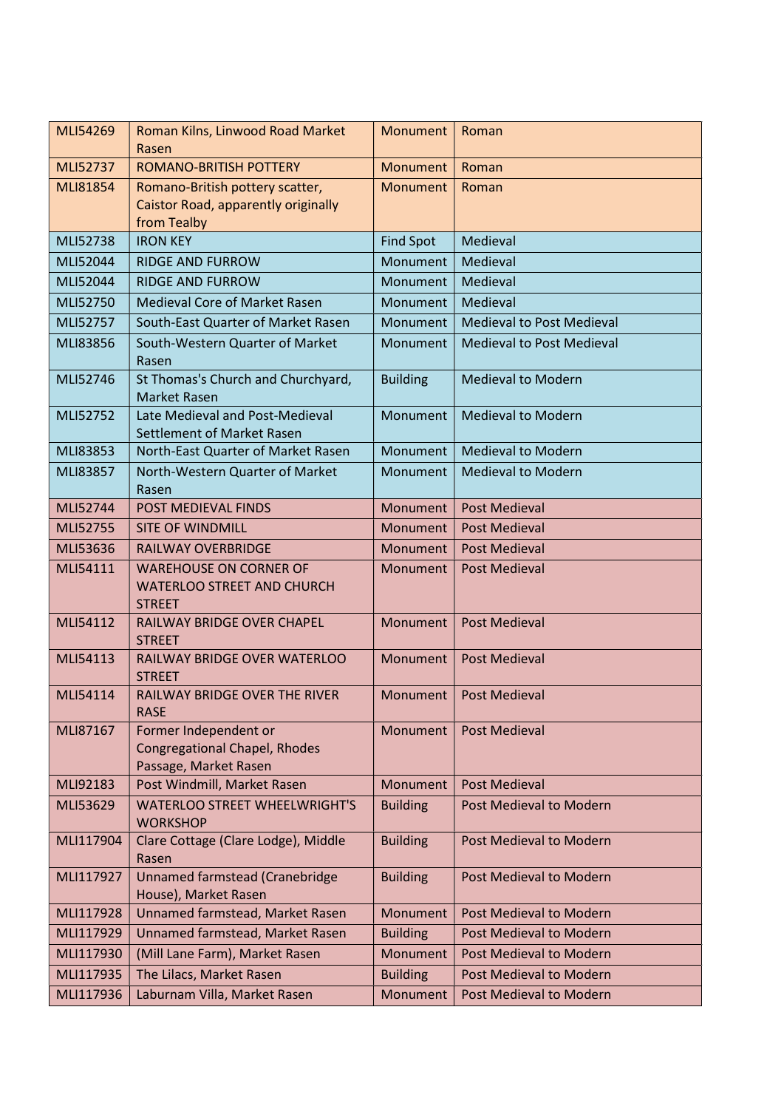| MLI54269        | Roman Kilns, Linwood Road Market<br>Rasen                                              | Monument         | Roman                            |
|-----------------|----------------------------------------------------------------------------------------|------------------|----------------------------------|
| <b>MLI52737</b> | <b>ROMANO-BRITISH POTTERY</b>                                                          | Monument         | Roman                            |
| <b>MLI81854</b> | Romano-British pottery scatter,<br>Caistor Road, apparently originally<br>from Tealby  | Monument         | Roman                            |
| MLI52738        | <b>IRON KEY</b>                                                                        | <b>Find Spot</b> | Medieval                         |
| MLI52044        | <b>RIDGE AND FURROW</b>                                                                | Monument         | Medieval                         |
| MLI52044        | <b>RIDGE AND FURROW</b>                                                                | Monument         | Medieval                         |
| MLI52750        | <b>Medieval Core of Market Rasen</b>                                                   | Monument         | Medieval                         |
| MLI52757        | South-East Quarter of Market Rasen                                                     | Monument         | <b>Medieval to Post Medieval</b> |
| MLI83856        | South-Western Quarter of Market<br>Rasen                                               | Monument         | <b>Medieval to Post Medieval</b> |
| MLI52746        | St Thomas's Church and Churchyard,<br><b>Market Rasen</b>                              | <b>Building</b>  | <b>Medieval to Modern</b>        |
| MLI52752        | Late Medieval and Post-Medieval<br>Settlement of Market Rasen                          | Monument         | <b>Medieval to Modern</b>        |
| MLI83853        | North-East Quarter of Market Rasen                                                     | Monument         | <b>Medieval to Modern</b>        |
| MLI83857        | North-Western Quarter of Market<br>Rasen                                               | Monument         | <b>Medieval to Modern</b>        |
| MLI52744        | <b>POST MEDIEVAL FINDS</b>                                                             | Monument         | <b>Post Medieval</b>             |
| MLI52755        | <b>SITE OF WINDMILL</b>                                                                | Monument         | <b>Post Medieval</b>             |
| MLI53636        | <b>RAILWAY OVERBRIDGE</b>                                                              | Monument         | <b>Post Medieval</b>             |
| MLI54111        | <b>WAREHOUSE ON CORNER OF</b><br><b>WATERLOO STREET AND CHURCH</b><br><b>STREET</b>    | Monument         | <b>Post Medieval</b>             |
| MLI54112        | RAILWAY BRIDGE OVER CHAPEL<br><b>STREET</b>                                            | Monument         | <b>Post Medieval</b>             |
| MLI54113        | RAILWAY BRIDGE OVER WATERLOO<br><b>STREET</b>                                          | Monument         | <b>Post Medieval</b>             |
| MLI54114        | <b>RAILWAY BRIDGE OVER THE RIVER</b><br><b>RASE</b>                                    | Monument         | <b>Post Medieval</b>             |
| MLI87167        | Former Independent or<br><b>Congregational Chapel, Rhodes</b><br>Passage, Market Rasen | Monument         | <b>Post Medieval</b>             |
| MLI92183        | Post Windmill, Market Rasen                                                            | Monument         | <b>Post Medieval</b>             |
| MLI53629        | <b>WATERLOO STREET WHEELWRIGHT'S</b><br><b>WORKSHOP</b>                                | <b>Building</b>  | <b>Post Medieval to Modern</b>   |
| MLI117904       | Clare Cottage (Clare Lodge), Middle<br>Rasen                                           | <b>Building</b>  | Post Medieval to Modern          |
| MLI117927       | Unnamed farmstead (Cranebridge<br>House), Market Rasen                                 | <b>Building</b>  | Post Medieval to Modern          |
| MLI117928       | Unnamed farmstead, Market Rasen                                                        | Monument         | Post Medieval to Modern          |
| MLI117929       | Unnamed farmstead, Market Rasen                                                        | <b>Building</b>  | Post Medieval to Modern          |
| MLI117930       | (Mill Lane Farm), Market Rasen                                                         | Monument         | Post Medieval to Modern          |
| MLI117935       | The Lilacs, Market Rasen                                                               | <b>Building</b>  | Post Medieval to Modern          |
| MLI117936       | Laburnam Villa, Market Rasen                                                           | Monument         | Post Medieval to Modern          |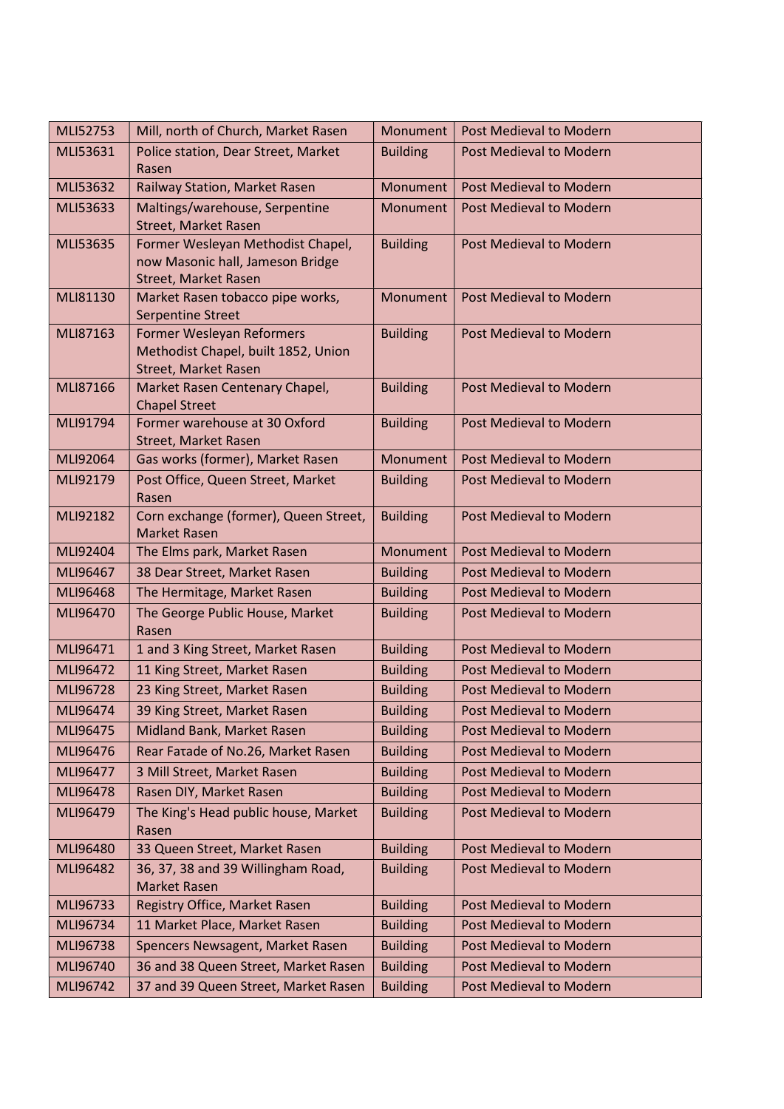| MLI52753 | Mill, north of Church, Market Rasen                                   | Monument        | Post Medieval to Modern        |
|----------|-----------------------------------------------------------------------|-----------------|--------------------------------|
| MLI53631 | Police station, Dear Street, Market                                   | <b>Building</b> | Post Medieval to Modern        |
|          | Rasen                                                                 |                 |                                |
| MLI53632 | Railway Station, Market Rasen                                         | Monument        | Post Medieval to Modern        |
| MLI53633 | Maltings/warehouse, Serpentine                                        | Monument        | Post Medieval to Modern        |
|          | <b>Street, Market Rasen</b>                                           |                 |                                |
| MLI53635 | Former Wesleyan Methodist Chapel,<br>now Masonic hall, Jameson Bridge | <b>Building</b> | Post Medieval to Modern        |
|          | Street, Market Rasen                                                  |                 |                                |
| MLI81130 | Market Rasen tobacco pipe works,                                      | Monument        | Post Medieval to Modern        |
|          | <b>Serpentine Street</b>                                              |                 |                                |
| MLI87163 | Former Wesleyan Reformers                                             | <b>Building</b> | Post Medieval to Modern        |
|          | Methodist Chapel, built 1852, Union                                   |                 |                                |
|          | Street, Market Rasen                                                  |                 |                                |
| MLI87166 | Market Rasen Centenary Chapel,                                        | <b>Building</b> | <b>Post Medieval to Modern</b> |
|          | <b>Chapel Street</b>                                                  |                 |                                |
| MLI91794 | Former warehouse at 30 Oxford                                         | <b>Building</b> | Post Medieval to Modern        |
|          | Street, Market Rasen                                                  |                 |                                |
| MLI92064 | Gas works (former), Market Rasen                                      | Monument        | Post Medieval to Modern        |
| MLI92179 | Post Office, Queen Street, Market                                     | <b>Building</b> | <b>Post Medieval to Modern</b> |
| MLI92182 | Rasen<br>Corn exchange (former), Queen Street,                        | <b>Building</b> | Post Medieval to Modern        |
|          | <b>Market Rasen</b>                                                   |                 |                                |
| MLI92404 | The Elms park, Market Rasen                                           | Monument        | Post Medieval to Modern        |
| MLI96467 | 38 Dear Street, Market Rasen                                          | <b>Building</b> | Post Medieval to Modern        |
| MLI96468 | The Hermitage, Market Rasen                                           | <b>Building</b> | Post Medieval to Modern        |
| MLI96470 | The George Public House, Market                                       | <b>Building</b> | Post Medieval to Modern        |
|          | Rasen                                                                 |                 |                                |
| MLI96471 | 1 and 3 King Street, Market Rasen                                     | <b>Building</b> | Post Medieval to Modern        |
| MLI96472 | 11 King Street, Market Rasen                                          | <b>Building</b> | Post Medieval to Modern        |
| MLI96728 | 23 King Street, Market Rasen                                          | <b>Building</b> | Post Medieval to Modern        |
| MLI96474 | 39 King Street, Market Rasen                                          | <b>Building</b> | Post Medieval to Modern        |
| MLI96475 | Midland Bank, Market Rasen                                            | <b>Building</b> | Post Medieval to Modern        |
| MLI96476 | Rear Fatade of No.26, Market Rasen                                    | <b>Building</b> | <b>Post Medieval to Modern</b> |
| MLI96477 | 3 Mill Street, Market Rasen                                           | <b>Building</b> | <b>Post Medieval to Modern</b> |
| MLI96478 | Rasen DIY, Market Rasen                                               | <b>Building</b> | Post Medieval to Modern        |
| MLI96479 | The King's Head public house, Market                                  | <b>Building</b> | Post Medieval to Modern        |
|          | Rasen                                                                 |                 |                                |
| MLI96480 | 33 Queen Street, Market Rasen                                         | <b>Building</b> | Post Medieval to Modern        |
| MLI96482 | 36, 37, 38 and 39 Willingham Road,                                    | <b>Building</b> | <b>Post Medieval to Modern</b> |
|          | <b>Market Rasen</b>                                                   |                 |                                |
| MLI96733 | Registry Office, Market Rasen                                         | <b>Building</b> | Post Medieval to Modern        |
| MLI96734 | 11 Market Place, Market Rasen                                         | <b>Building</b> | Post Medieval to Modern        |
| MLI96738 | Spencers Newsagent, Market Rasen                                      | <b>Building</b> | Post Medieval to Modern        |
| MLI96740 | 36 and 38 Queen Street, Market Rasen                                  | <b>Building</b> | Post Medieval to Modern        |
| MLI96742 | 37 and 39 Queen Street, Market Rasen                                  | <b>Building</b> | Post Medieval to Modern        |